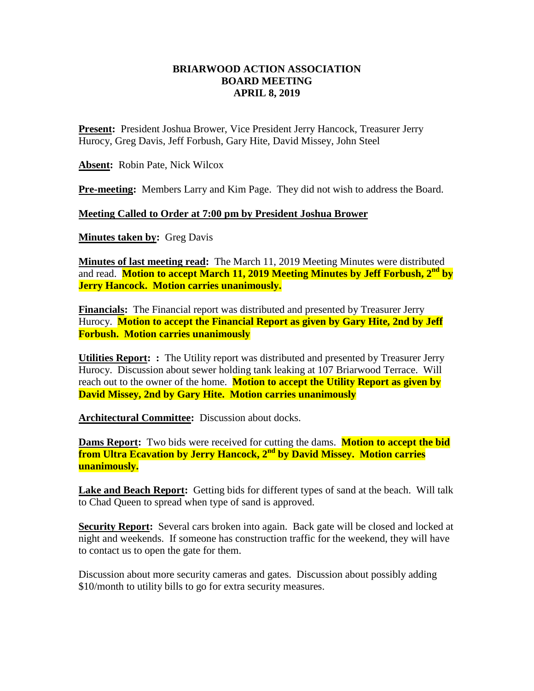## **BRIARWOOD ACTION ASSOCIATION BOARD MEETING APRIL 8, 2019**

**Present:** President Joshua Brower, Vice President Jerry Hancock, Treasurer Jerry Hurocy, Greg Davis, Jeff Forbush, Gary Hite, David Missey, John Steel

**Absent:** Robin Pate, Nick Wilcox

**Pre-meeting:** Members Larry and Kim Page. They did not wish to address the Board.

## **Meeting Called to Order at 7:00 pm by President Joshua Brower**

**Minutes taken by: Greg Davis** 

**Minutes of last meeting read:** The March 11, 2019 Meeting Minutes were distributed and read. **Motion to accept March 11, 2019 Meeting Minutes by Jeff Forbush, 2nd by Jerry Hancock. Motion carries unanimously.**

**Financials:** The Financial report was distributed and presented by Treasurer Jerry Hurocy. **Motion to accept the Financial Report as given by Gary Hite, 2nd by Jeff Forbush. Motion carries unanimously** 

**Utilities Report: :** The Utility report was distributed and presented by Treasurer Jerry Hurocy. Discussion about sewer holding tank leaking at 107 Briarwood Terrace. Will reach out to the owner of the home. **Motion to accept the Utility Report as given by David Missey, 2nd by Gary Hite. Motion carries unanimously** 

**Architectural Committee:** Discussion about docks.

**Dams Report:** Two bids were received for cutting the dams. **Motion to accept the bid from Ultra Ecavation by Jerry Hancock, 2nd by David Missey. Motion carries unanimously.** 

**Lake and Beach Report:** Getting bids for different types of sand at the beach. Will talk to Chad Queen to spread when type of sand is approved.

**Security Report:** Several cars broken into again. Back gate will be closed and locked at night and weekends. If someone has construction traffic for the weekend, they will have to contact us to open the gate for them.

Discussion about more security cameras and gates. Discussion about possibly adding \$10/month to utility bills to go for extra security measures.